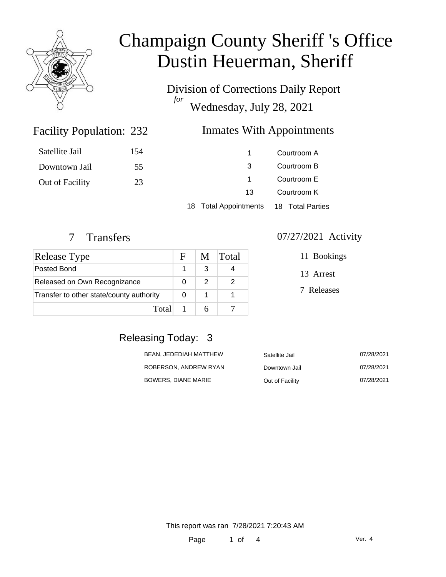

Division of Corrections Daily Report *for* Wednesday, July 28, 2021

### Inmates With Appointments

| Satellite Jail  | 154 |                                        | Courtroom A                |  |
|-----------------|-----|----------------------------------------|----------------------------|--|
| Downtown Jail   | 55  | 3                                      | Courtroom B                |  |
| Out of Facility | 23  |                                        | Courtroom E<br>Courtroom K |  |
|                 |     | 13                                     |                            |  |
|                 |     | 18 Total Appointments 18 Total Parties |                            |  |

Facility Population: 232

| Release Type                             | $\mathbf{F}$ | M | <b>Total</b> |
|------------------------------------------|--------------|---|--------------|
| Posted Bond                              |              | 3 |              |
| Released on Own Recognizance             |              | 2 |              |
| Transfer to other state/county authority |              |   |              |
| Total                                    |              |   |              |

#### 7 Transfers 07/27/2021 Activity

11 Bookings

13 Arrest

7 Releases

## Releasing Today: 3

| BEAN. JEDEDIAH MATTHEW | Satellite Jail  | 07/28/2021 |
|------------------------|-----------------|------------|
| ROBERSON. ANDREW RYAN  | Downtown Jail   | 07/28/2021 |
| BOWERS. DIANE MARIE    | Out of Facility | 07/28/2021 |

This report was ran 7/28/2021 7:20:43 AM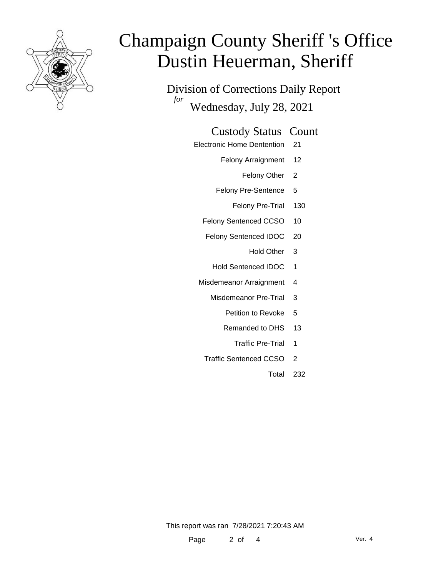

Division of Corrections Daily Report *for* Wednesday, July 28, 2021

### Custody Status Count

- Electronic Home Dentention 21
	- Felony Arraignment 12
		- Felony Other 2
	- Felony Pre-Sentence 5
		- Felony Pre-Trial 130
	- Felony Sentenced CCSO 10
	- Felony Sentenced IDOC 20
		- Hold Other 3
		- Hold Sentenced IDOC 1
	- Misdemeanor Arraignment 4
		- Misdemeanor Pre-Trial 3
			- Petition to Revoke 5
			- Remanded to DHS 13
				- Traffic Pre-Trial 1
		- Traffic Sentenced CCSO 2
			- Total 232

This report was ran 7/28/2021 7:20:43 AM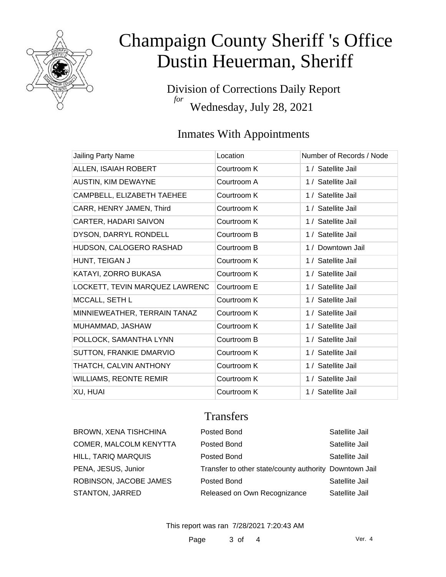

Division of Corrections Daily Report *for* Wednesday, July 28, 2021

## Inmates With Appointments

| <b>Jailing Party Name</b>      | Location    | Number of Records / Node |
|--------------------------------|-------------|--------------------------|
| ALLEN, ISAIAH ROBERT           | Courtroom K | 1 / Satellite Jail       |
| <b>AUSTIN, KIM DEWAYNE</b>     | Courtroom A | 1 / Satellite Jail       |
| CAMPBELL, ELIZABETH TAEHEE     | Courtroom K | 1 / Satellite Jail       |
| CARR, HENRY JAMEN, Third       | Courtroom K | 1 / Satellite Jail       |
| CARTER, HADARI SAIVON          | Courtroom K | 1 / Satellite Jail       |
| DYSON, DARRYL RONDELL          | Courtroom B | 1 / Satellite Jail       |
| HUDSON, CALOGERO RASHAD        | Courtroom B | 1 / Downtown Jail        |
| HUNT, TEIGAN J                 | Courtroom K | 1 / Satellite Jail       |
| KATAYI, ZORRO BUKASA           | Courtroom K | 1 / Satellite Jail       |
| LOCKETT, TEVIN MARQUEZ LAWRENC | Courtroom E | 1 / Satellite Jail       |
| MCCALL, SETH L                 | Courtroom K | 1 / Satellite Jail       |
| MINNIEWEATHER, TERRAIN TANAZ   | Courtroom K | 1 / Satellite Jail       |
| MUHAMMAD, JASHAW               | Courtroom K | 1 / Satellite Jail       |
| POLLOCK, SAMANTHA LYNN         | Courtroom B | 1 / Satellite Jail       |
| SUTTON, FRANKIE DMARVIO        | Courtroom K | 1 / Satellite Jail       |
| THATCH, CALVIN ANTHONY         | Courtroom K | 1 / Satellite Jail       |
| <b>WILLIAMS, REONTE REMIR</b>  | Courtroom K | 1 / Satellite Jail       |
| XU, HUAI                       | Courtroom K | 1 / Satellite Jail       |

## **Transfers**

| <b>BROWN, XENA TISHCHINA</b>  | Posted Bond                                            | Satellite Jail |
|-------------------------------|--------------------------------------------------------|----------------|
| <b>COMER, MALCOLM KENYTTA</b> | Posted Bond                                            | Satellite Jail |
| HILL, TARIQ MARQUIS           | Posted Bond                                            | Satellite Jail |
| PENA, JESUS, Junior           | Transfer to other state/county authority Downtown Jail |                |
| ROBINSON, JACOBE JAMES        | Posted Bond                                            | Satellite Jail |
| <b>STANTON, JARRED</b>        | Released on Own Recognizance                           | Satellite Jail |

This report was ran 7/28/2021 7:20:43 AM